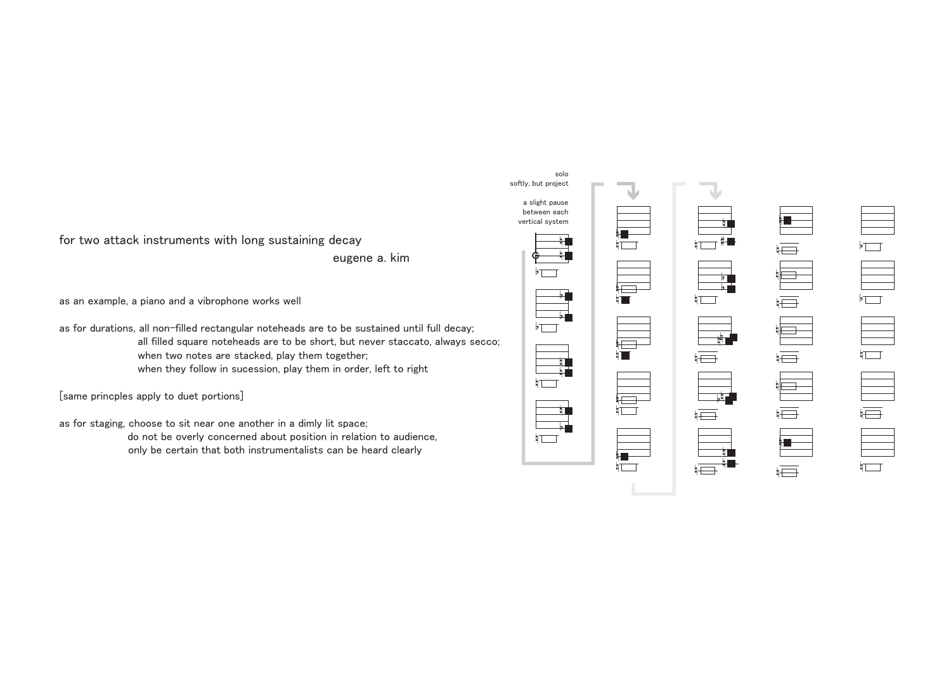

n

 $\overline{m}$ 

n

n

as an example, a piano and a vibrophone works well

as for durations, all non-filled rectangular noteheads are to be sustained until full decay;

[same princples apply to duet portions]

as for staging, choose to sit near one another in a dimly lit space;